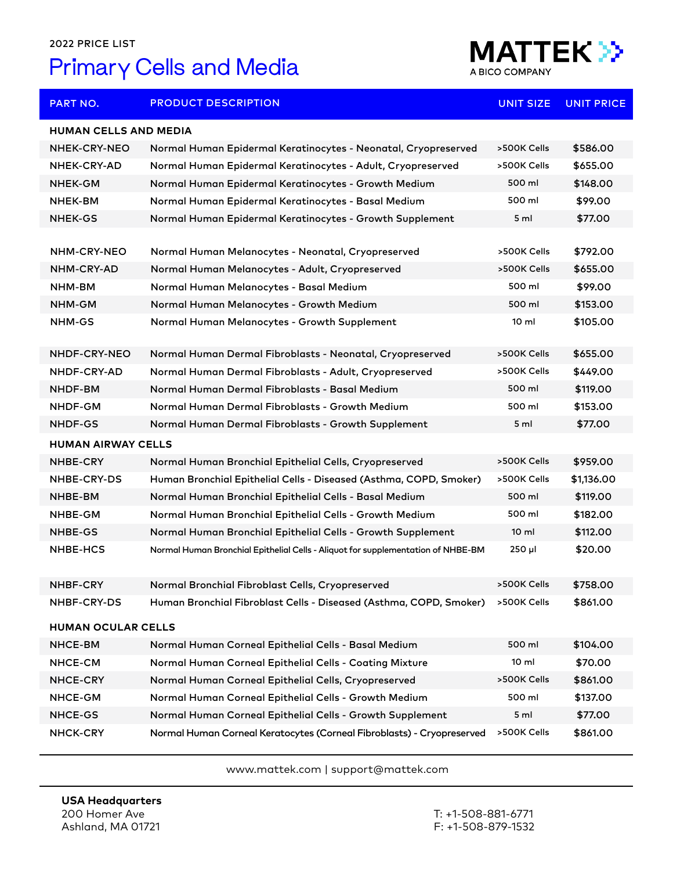## 2022 PRICE LIST

## Primary Cells and Media



| <b>PART NO.</b>              | <b>PRODUCT DESCRIPTION</b>                                                       | <b>UNIT SIZE</b> | <b>UNIT PRICE</b> |  |  |
|------------------------------|----------------------------------------------------------------------------------|------------------|-------------------|--|--|
| <b>HUMAN CELLS AND MEDIA</b> |                                                                                  |                  |                   |  |  |
| NHEK-CRY-NEO                 | Normal Human Epidermal Keratinocytes - Neonatal, Cryopreserved                   | >500K Cells      | \$586.00          |  |  |
| NHEK-CRY-AD                  | Normal Human Epidermal Keratinocytes - Adult, Cryopreserved                      | >500K Cells      | \$655.00          |  |  |
| NHEK-GM                      | Normal Human Epidermal Keratinocytes - Growth Medium                             | 500 ml           | \$148.00          |  |  |
| NHEK-BM                      | Normal Human Epidermal Keratinocytes - Basal Medium                              | 500 ml           | \$99.00           |  |  |
| <b>NHEK-GS</b>               | Normal Human Epidermal Keratinocytes - Growth Supplement                         | 5 <sub>ml</sub>  | \$77.00           |  |  |
|                              |                                                                                  |                  |                   |  |  |
| NHM-CRY-NEO                  | Normal Human Melanocytes - Neonatal, Cryopreserved                               | >500K Cells      | \$792.00          |  |  |
| NHM-CRY-AD                   | Normal Human Melanocytes - Adult, Cryopreserved                                  | >500K Cells      | \$655.00          |  |  |
| NHM-BM                       | Normal Human Melanocytes - Basal Medium                                          | 500 ml           | \$99.00           |  |  |
| NHM-GM                       | Normal Human Melanocytes - Growth Medium                                         | 500 ml           | \$153.00          |  |  |
| NHM-GS                       | Normal Human Melanocytes - Growth Supplement                                     | $10 \mathrm{m}$  | \$105.00          |  |  |
| NHDF-CRY-NEO                 | Normal Human Dermal Fibroblasts - Neonatal, Cryopreserved                        | >500K Cells      | \$655.00          |  |  |
| NHDF-CRY-AD                  | Normal Human Dermal Fibroblasts - Adult, Cryopreserved                           | >500K Cells      | \$449.00          |  |  |
| NHDF-BM                      | Normal Human Dermal Fibroblasts - Basal Medium                                   | 500 ml           | \$119.00          |  |  |
| NHDF-GM                      | Normal Human Dermal Fibroblasts - Growth Medium                                  | 500 ml           | \$153.00          |  |  |
| <b>NHDF-GS</b>               | Normal Human Dermal Fibroblasts - Growth Supplement                              | 5 <sub>ml</sub>  | \$77.00           |  |  |
| <b>HUMAN AIRWAY CELLS</b>    |                                                                                  |                  |                   |  |  |
| NHBE-CRY                     | Normal Human Bronchial Epithelial Cells, Cryopreserved                           | >500K Cells      | \$959.00          |  |  |
| NHBE-CRY-DS                  | Human Bronchial Epithelial Cells - Diseased (Asthma, COPD, Smoker)               | >500K Cells      | \$1,136.00        |  |  |
| NHBE-BM                      | Normal Human Bronchial Epithelial Cells - Basal Medium                           | 500 ml           | \$119.00          |  |  |
| NHBE-GM                      | Normal Human Bronchial Epithelial Cells - Growth Medium                          | 500 ml           | \$182.00          |  |  |
| NHBE-GS                      | Normal Human Bronchial Epithelial Cells - Growth Supplement                      | $10 \mathrm{m}$  | \$112.00          |  |  |
| <b>NHBE-HCS</b>              | Normal Human Bronchial Epithelial Cells - Aliquot for supplementation of NHBE-BM | $250$ µl         | \$20.00           |  |  |
| <b>NHBF-CRY</b>              | Normal Bronchial Fibroblast Cells, Cryopreserved                                 | >500K Cells      | \$758.00          |  |  |
| NHBF-CRY-DS                  | Human Bronchial Fibroblast Cells - Diseased (Asthma, COPD, Smoker)               | >500K Cells      | \$861.00          |  |  |
| <b>HUMAN OCULAR CELLS</b>    |                                                                                  |                  |                   |  |  |
| NHCE-BM                      | Normal Human Corneal Epithelial Cells - Basal Medium                             | 500 ml           | \$104.00          |  |  |
| NHCE-CM                      | Normal Human Corneal Epithelial Cells - Coating Mixture                          | 10 <sub>m</sub>  | \$70.00           |  |  |
| <b>NHCE-CRY</b>              | Normal Human Corneal Epithelial Cells, Cryopreserved                             | >500K Cells      | \$861.00          |  |  |
| NHCE-GM                      | Normal Human Corneal Epithelial Cells - Growth Medium                            | 500 ml           | \$137.00          |  |  |
| NHCE-GS                      | Normal Human Corneal Epithelial Cells - Growth Supplement                        | 5 ml             | \$77.00           |  |  |
| NHCK-CRY                     | Normal Human Corneal Keratocytes (Corneal Fibroblasts) - Cryopreserved           | >500K Cells      | \$861.00          |  |  |

www.mattek.com | support@mattek.com